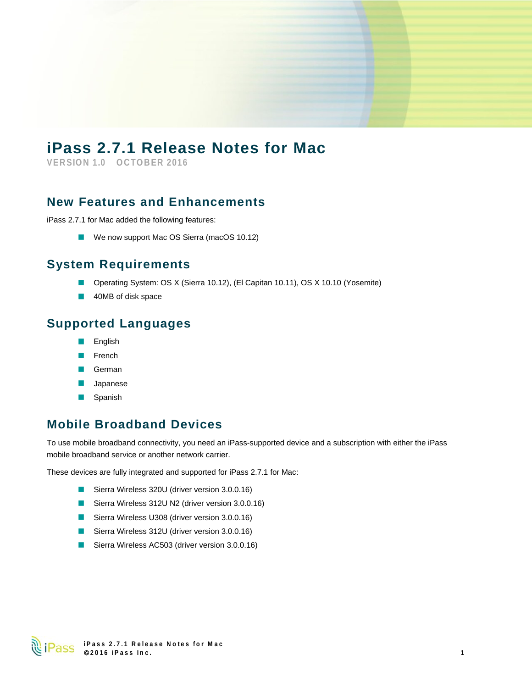# **iPass 2.7.1 Release Notes for Mac**

**VERSION 1.0 OCTOBER 2016**

#### **New Features and Enhancements**

iPass 2.7.1 for Mac added the following features:

 $\mathcal{L}_{\mathcal{A}}$ We now support Mac OS Sierra (macOS 10.12)

## **System Requirements**

- ×, Operating System: OS X (Sierra 10.12), (El Capitan 10.11), OS X 10.10 (Yosemite)
- 40MB of disk space ×,

### **Supported Languages**

- a. English
- French
- German
- Japanese
- Spanish  $\mathcal{L}_{\mathcal{A}}$

# **Mobile Broadband Devices**

To use mobile broadband connectivity, you need an iPass-supported device and a subscription with either the iPass mobile broadband service or another network carrier.

These devices are fully integrated and supported for iPass 2.7.1 for Mac:

- Sierra Wireless 320U (driver version 3.0.0.16)
- Sierra Wireless 312U N2 (driver version 3.0.0.16)
- Sierra Wireless U308 (driver version 3.0.0.16)
- $\mathcal{L}_{\mathcal{A}}$ Sierra Wireless 312U (driver version 3.0.0.16)
- Sierra Wireless AC503 (driver version 3.0.0.16)